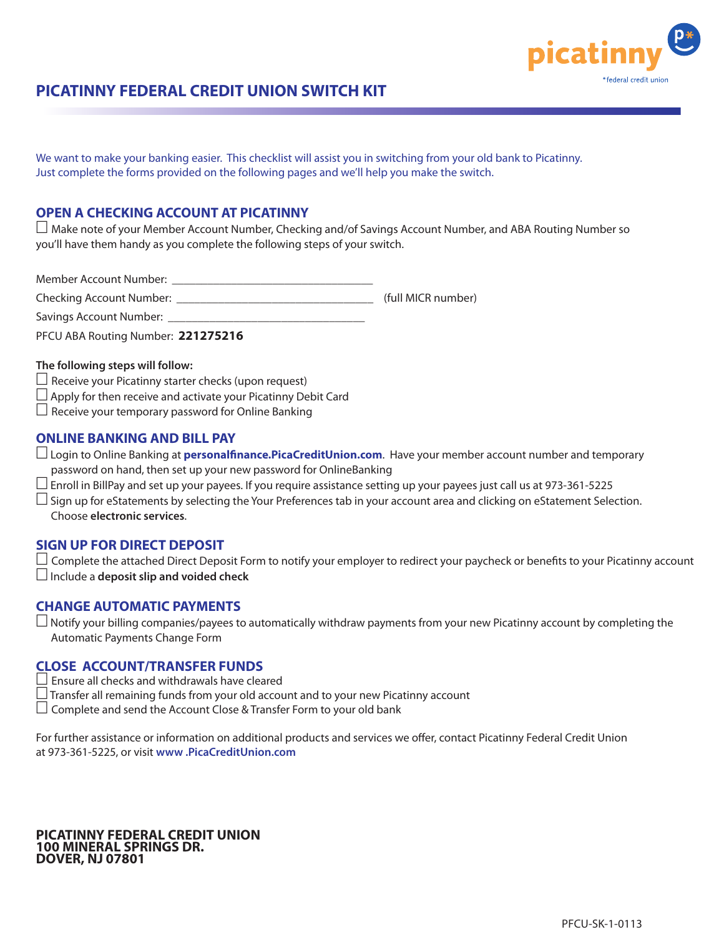

## **PICATINNY FEDERAL CREDIT UNION SWITCH KIT**

We want to make your banking easier. This checklist will assist you in switching from your old bank to Picatinny. Just complete the forms provided on the following pages and we'll help you make the switch.

### **OPEN A CHECKING ACCOUNT AT PICATINNY**

**¹** Make note of your Member Account Number, Checking and/of Savings Account Number, and ABA Routing Number so you'll have them handy as you complete the following steps of your switch.

Member Account Number: \_\_\_\_\_\_\_\_\_\_\_\_\_\_\_\_\_\_\_\_\_\_\_\_\_\_\_\_\_\_\_\_\_\_

Checking Account Number: \_\_\_\_\_\_\_\_\_\_\_\_\_\_\_\_\_\_\_\_\_\_\_\_\_\_\_\_\_\_\_\_\_ (full MICR number)

Savings Account Number:

PFCU ABA Routing Number: **221275216**

#### **The following steps will follow:**

- **¹** Receive your Picatinny starter checks (upon request)
- $\Box$  Apply for then receive and activate your Picatinny Debit Card
- $\Box$  Receive your temporary password for Online Banking

### **ONLINE BANKING AND BILL PAY**

□ Login to Online Banking at **personalfinance.PicaCreditUnion.com**. Have your member account number and temporary password on hand, then set up your new password for OnlineBanking

- **¹** Enroll in BillPay and set up your payees. If you require assistance setting up your payees just call us at 973-361-5225
- $\Box$  Sign up for eStatements by selecting the Your Preferences tab in your account area and clicking on eStatement Selection. Choose **electronic services**.

### **SIGN UP FOR DIRECT DEPOSIT**

□ Complete the attached Direct Deposit Form to notify your employer to redirect your paycheck or benefits to your Picatinny account **¹** Include a **deposit slip and voided check**

### **CHANGE AUTOMATIC PAYMENTS**

 $\Box$  Notify your billing companies/payees to automatically withdraw payments from your new Picatinny account by completing the Automatic Payments Change Form

### **CLOSE ACCOUNT/TRANSFER FUNDS**

 $\Box$  Ensure all checks and withdrawals have cleared

- $\Box$  Transfer all remaining funds from your old account and to your new Picatinny account
- □ Complete and send the Account Close & Transfer Form to your old bank

For further assistance or information on additional products and services we offer, contact Picatinny Federal Credit Union at 973-361-5225, or visit **www .PicaCreditUnion.com**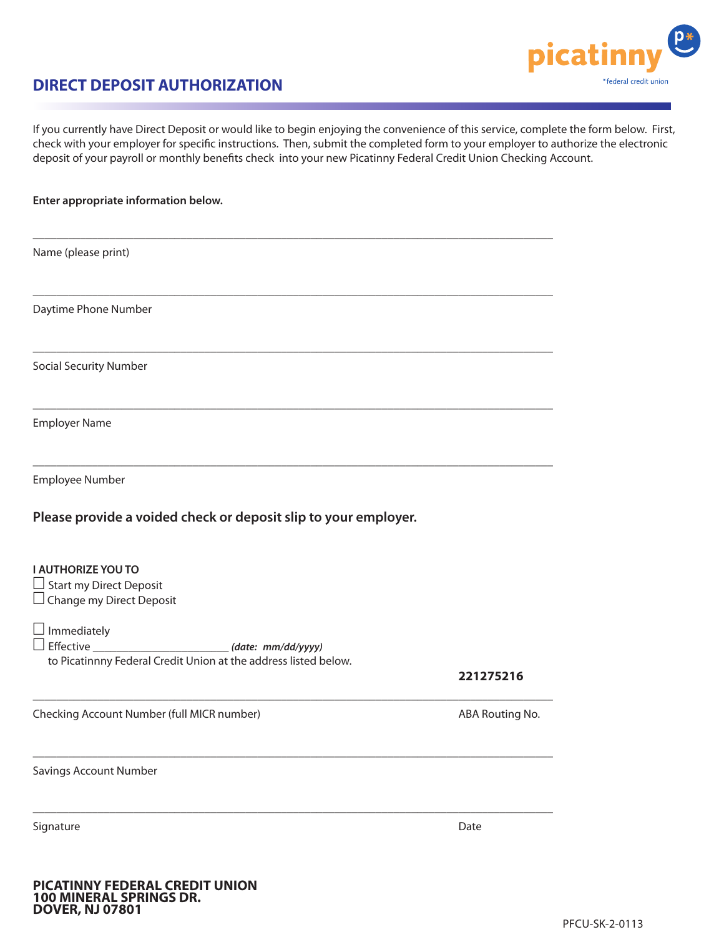

# **DIRECT DEPOSIT AUTHORIZATION**

If you currently have Direct Deposit or would like to begin enjoying the convenience of this service, complete the form below. First, check with your employer for specific instructions. Then, submit the completed form to your employer to authorize the electronic deposit of your payroll or monthly benefits check into your new Picatinny Federal Credit Union Checking Account.

| Enter appropriate information below.                                                                                                                    |                 |
|---------------------------------------------------------------------------------------------------------------------------------------------------------|-----------------|
| Name (please print)                                                                                                                                     |                 |
| Daytime Phone Number                                                                                                                                    |                 |
| <b>Social Security Number</b>                                                                                                                           |                 |
| <b>Employer Name</b>                                                                                                                                    |                 |
| <b>Employee Number</b>                                                                                                                                  |                 |
| Please provide a voided check or deposit slip to your employer.                                                                                         |                 |
| <b>I AUTHORIZE YOU TO</b><br>$\Box$ Start my Direct Deposit<br>$\Box$ Change my Direct Deposit                                                          |                 |
| $\perp$ Immediately<br>Effective ________________________________ (date: mm/dd/yyyy)<br>to Picatinnny Federal Credit Union at the address listed below. | 221275216       |
| Checking Account Number (full MICR number)                                                                                                              | ABA Routing No. |
| <b>Savings Account Number</b>                                                                                                                           |                 |
| Signature                                                                                                                                               | Date            |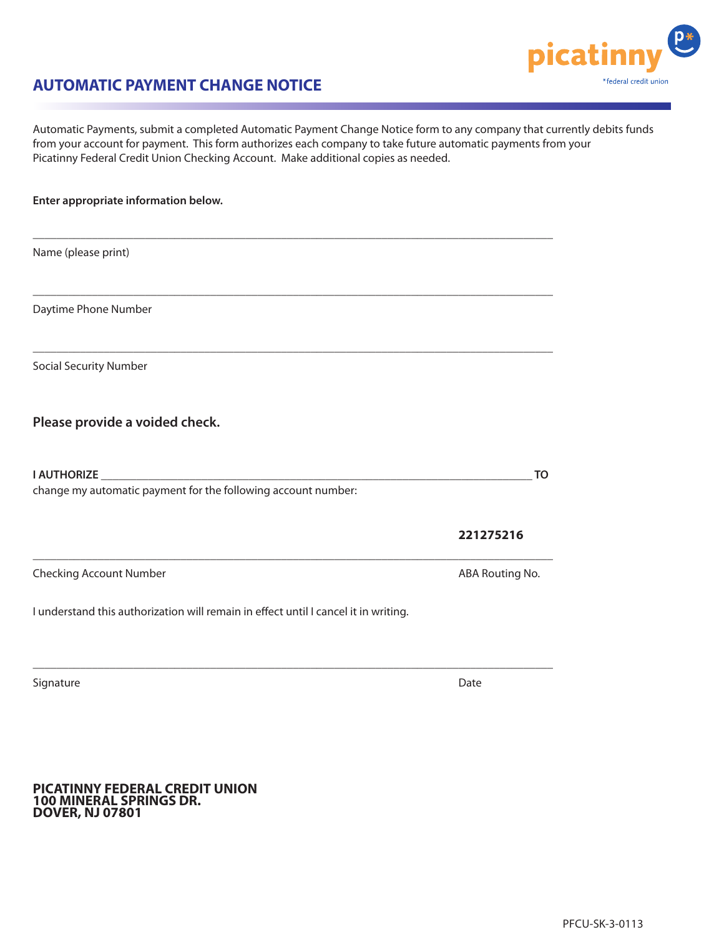

# **AUTOMATIC PAYMENT CHANGE NOTICE**

Automatic Payments, submit a completed Automatic Payment Change Notice form to any company that currently debits funds from your account for payment. This form authorizes each company to take future automatic payments from your Picatinny Federal Credit Union Checking Account. Make additional copies as needed.

| Enter appropriate information below.                                                |                 |
|-------------------------------------------------------------------------------------|-----------------|
| Name (please print)                                                                 |                 |
| Daytime Phone Number                                                                |                 |
| <b>Social Security Number</b>                                                       |                 |
| Please provide a voided check.                                                      |                 |
| <b>I AUTHORIZE</b><br>change my automatic payment for the following account number: | TO              |
|                                                                                     | 221275216       |
| <b>Checking Account Number</b>                                                      | ABA Routing No. |
| I understand this authorization will remain in effect until I cancel it in writing. |                 |
| Signature                                                                           | Date            |